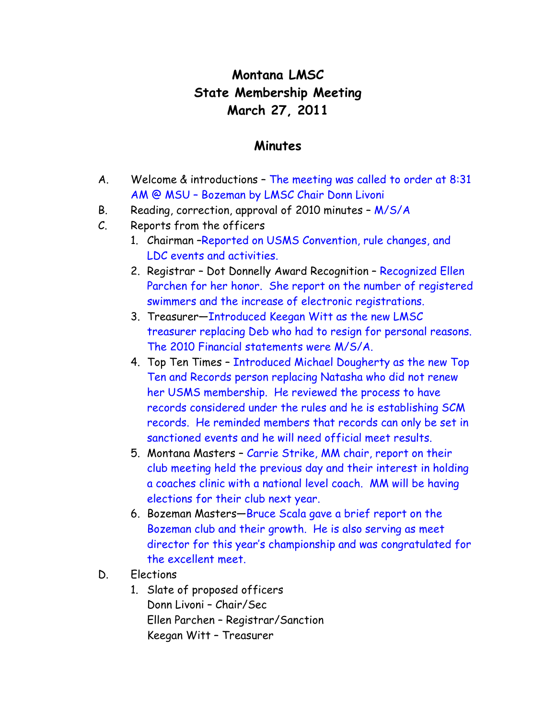## **Montana LMSC State Membership Meeting March 27, 2011**

## **Minutes**

- A. Welcome & introductions The meeting was called to order at 8:31 AM @ MSU – Bozeman by LMSC Chair Donn Livoni
- B. Reading, correction, approval of 2010 minutes M/S/A
- C. Reports from the officers
	- 1. Chairman –Reported on USMS Convention, rule changes, and LDC events and activities.
	- 2. Registrar Dot Donnelly Award Recognition Recognized Ellen Parchen for her honor. She report on the number of registered swimmers and the increase of electronic registrations.
	- 3. Treasurer—Introduced Keegan Witt as the new LMSC treasurer replacing Deb who had to resign for personal reasons. The 2010 Financial statements were M/S/A.
	- 4. Top Ten Times Introduced Michael Dougherty as the new Top Ten and Records person replacing Natasha who did not renew her USMS membership. He reviewed the process to have records considered under the rules and he is establishing SCM records. He reminded members that records can only be set in sanctioned events and he will need official meet results.
	- 5. Montana Masters Carrie Strike, MM chair, report on their club meeting held the previous day and their interest in holding a coaches clinic with a national level coach. MM will be having elections for their club next year.
	- 6. Bozeman Masters—Bruce Scala gave a brief report on the Bozeman club and their growth. He is also serving as meet director for this year's championship and was congratulated for the excellent meet.
- D. Elections
	- 1. Slate of proposed officers Donn Livoni – Chair/Sec Ellen Parchen – Registrar/Sanction Keegan Witt – Treasurer